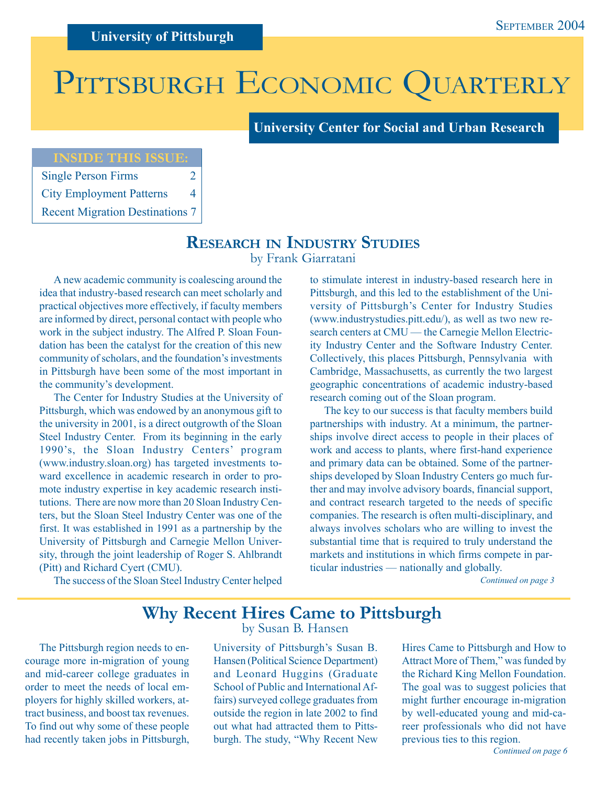# PITTSBURGH ECONOMIC QUARTERLY

**University Center for Social and Urban Research**

## **INSIDE THIS ISSUE:**

| <b>Single Person Firms</b>             | 2 |
|----------------------------------------|---|
| <b>City Employment Patterns</b>        | 4 |
| <b>Recent Migration Destinations 7</b> |   |

**RESEARCH IN INDUSTRY STUDIES**

by Frank Giarratani

A new academic community is coalescing around the idea that industry-based research can meet scholarly and practical objectives more effectively, if faculty members are informed by direct, personal contact with people who work in the subject industry. The Alfred P. Sloan Foundation has been the catalyst for the creation of this new community of scholars, and the foundation's investments in Pittsburgh have been some of the most important in the community's development.

The Center for Industry Studies at the University of Pittsburgh, which was endowed by an anonymous gift to the university in 2001, is a direct outgrowth of the Sloan Steel Industry Center. From its beginning in the early 1990's, the Sloan Industry Centers' program (www.industry.sloan.org) has targeted investments toward excellence in academic research in order to promote industry expertise in key academic research institutions. There are now more than 20 Sloan Industry Centers, but the Sloan Steel Industry Center was one of the first. It was established in 1991 as a partnership by the University of Pittsburgh and Carnegie Mellon University, through the joint leadership of Roger S. Ahlbrandt (Pitt) and Richard Cyert (CMU).

The success of the Sloan Steel Industry Center helped

to stimulate interest in industry-based research here in Pittsburgh, and this led to the establishment of the University of Pittsburgh's Center for Industry Studies (www.industrystudies.pitt.edu/), as well as two new research centers at CMU — the Carnegie Mellon Electricity Industry Center and the Software Industry Center. Collectively, this places Pittsburgh, Pennsylvania with Cambridge, Massachusetts, as currently the two largest geographic concentrations of academic industry-based research coming out of the Sloan program.

The key to our success is that faculty members build partnerships with industry. At a minimum, the partnerships involve direct access to people in their places of work and access to plants, where first-hand experience and primary data can be obtained. Some of the partnerships developed by Sloan Industry Centers go much further and may involve advisory boards, financial support, and contract research targeted to the needs of specific companies. The research is often multi-disciplinary, and always involves scholars who are willing to invest the substantial time that is required to truly understand the markets and institutions in which firms compete in particular industries — nationally and globally.

*Continued on page 3*

# **Why Recent Hires Came to Pittsburgh**

The Pittsburgh region needs to encourage more in-migration of young and mid-career college graduates in order to meet the needs of local employers for highly skilled workers, attract business, and boost tax revenues. To find out why some of these people had recently taken jobs in Pittsburgh,

# by Susan B. Hansen

University of Pittsburgh's Susan B. Hansen (Political Science Department) and Leonard Huggins (Graduate School of Public and International Affairs) surveyed college graduates from outside the region in late 2002 to find out what had attracted them to Pittsburgh. The study, "Why Recent New

Hires Came to Pittsburgh and How to Attract More of Them," was funded by the Richard King Mellon Foundation. The goal was to suggest policies that might further encourage in-migration by well-educated young and mid-career professionals who did not have previous ties to this region.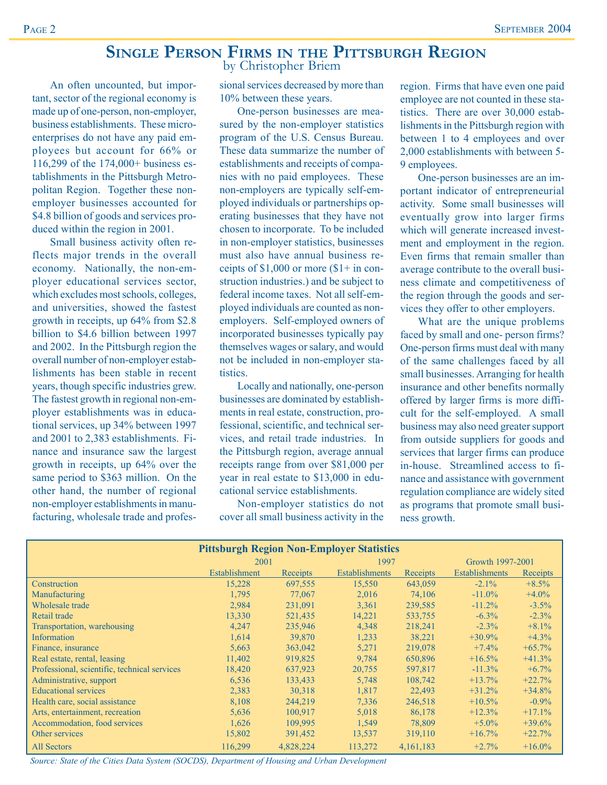## **SINGLE PERSON FIRMS IN THE PITTSBURGH REGION** by Christopher Briem

An often uncounted, but important, sector of the regional economy is made up of one-person, non-employer, business establishments. These microenterprises do not have any paid employees but account for 66% or 116,299 of the 174,000+ business establishments in the Pittsburgh Metropolitan Region. Together these nonemployer businesses accounted for \$4.8 billion of goods and services produced within the region in 2001.

Small business activity often reflects major trends in the overall economy. Nationally, the non-employer educational services sector, which excludes most schools, colleges, and universities, showed the fastest growth in receipts, up 64% from \$2.8 billion to \$4.6 billion between 1997 and 2002. In the Pittsburgh region the overall number of non-employer establishments has been stable in recent years, though specific industries grew. The fastest growth in regional non-employer establishments was in educational services, up 34% between 1997 and 2001 to 2,383 establishments. Finance and insurance saw the largest growth in receipts, up 64% over the same period to \$363 million. On the other hand, the number of regional non-employer establishments in manufacturing, wholesale trade and professional services decreased by more than 10% between these years.

One-person businesses are measured by the non-employer statistics program of the U.S. Census Bureau. These data summarize the number of establishments and receipts of companies with no paid employees. These non-employers are typically self-employed individuals or partnerships operating businesses that they have not chosen to incorporate. To be included in non-employer statistics, businesses must also have annual business receipts of  $$1,000$  or more  $$1+$  in construction industries.) and be subject to federal income taxes. Not all self-employed individuals are counted as nonemployers. Self-employed owners of incorporated businesses typically pay themselves wages or salary, and would not be included in non-employer statistics.

Locally and nationally, one-person businesses are dominated by establishments in real estate, construction, professional, scientific, and technical services, and retail trade industries. In the Pittsburgh region, average annual receipts range from over \$81,000 per year in real estate to \$13,000 in educational service establishments.

Non-employer statistics do not cover all small business activity in the

region. Firms that have even one paid employee are not counted in these statistics. There are over 30,000 establishments in the Pittsburgh region with between 1 to 4 employees and over 2,000 establishments with between 5- 9 employees.

One-person businesses are an important indicator of entrepreneurial activity. Some small businesses will eventually grow into larger firms which will generate increased investment and employment in the region. Even firms that remain smaller than average contribute to the overall business climate and competitiveness of the region through the goods and services they offer to other employers.

What are the unique problems faced by small and one- person firms? One-person firms must deal with many of the same challenges faced by all small businesses. Arranging for health insurance and other benefits normally offered by larger firms is more difficult for the self-employed. A small business may also need greater support from outside suppliers for goods and services that larger firms can produce in-house. Streamlined access to finance and assistance with government regulation compliance are widely sited as programs that promote small business growth.

|                                              | <b>Pittsburgh Region Non-Employer Statistics</b> |           |                       |             |                       |           |
|----------------------------------------------|--------------------------------------------------|-----------|-----------------------|-------------|-----------------------|-----------|
|                                              | 2001                                             |           | 1997                  |             | Growth 1997-2001      |           |
|                                              | Establishment                                    | Receipts  | <b>Establishments</b> | Receipts    | <b>Establishments</b> | Receipts  |
| Construction                                 | 15,228                                           | 697,555   | 15,550                | 643,059     | $-2.1\%$              | $+8.5%$   |
| Manufacturing                                | 1,795                                            | 77,067    | 2,016                 | 74,106      | $-11.0\%$             | $+4.0\%$  |
| Wholesale trade                              | 2,984                                            | 231,091   | 3,361                 | 239,585     | $-11.2\%$             | $-3.5\%$  |
| Retail trade                                 | 13,330                                           | 521,435   | 14,221                | 533,755     | $-6.3\%$              | $-2.3\%$  |
| Transportation, warehousing                  | 4,247                                            | 235,946   | 4,348                 | 218,241     | $-2.3%$               | $+8.1\%$  |
| Information                                  | 1,614                                            | 39,870    | 1,233                 | 38,221      | $+30.9\%$             | $+4.3%$   |
| Finance, insurance                           | 5,663                                            | 363,042   | 5,271                 | 219,078     | $+7.4%$               | $+65.7\%$ |
| Real estate, rental, leasing                 | 11,402                                           | 919,825   | 9,784                 | 650,896     | $+16.5%$              | $+41.3%$  |
| Professional, scientific, technical services | 18,420                                           | 637,923   | 20,755                | 597,817     | $-11.3\%$             | $+6.7\%$  |
| Administrative, support                      | 6,536                                            | 133,433   | 5,748                 | 108.742     | $+13.7%$              | $+22.7%$  |
| <b>Educational services</b>                  | 2,383                                            | 30,318    | 1,817                 | 22.493      | $+31.2%$              | $+34.8%$  |
| Health care, social assistance               | 8,108                                            | 244,219   | 7,336                 | 246,518     | $+10.5%$              | $-0.9\%$  |
| Arts, entertainment, recreation              | 5,636                                            | 100,917   | 5,018                 | 86,178      | $+12.3%$              | $+17.1%$  |
| Accommodation, food services                 | 1,626                                            | 109,995   | 1,549                 | 78,809      | $+5.0\%$              | $+39.6%$  |
| Other services                               | 15,802                                           | 391,452   | 13,537                | 319,110     | $+16.7\%$             | $+22.7%$  |
| <b>All Sectors</b>                           | 116,299                                          | 4,828,224 | 113,272               | 4, 161, 183 | $+2.7%$               | $+16.0\%$ |

*Source: State of the Cities Data System (SOCDS), Department of Housing and Urban Development*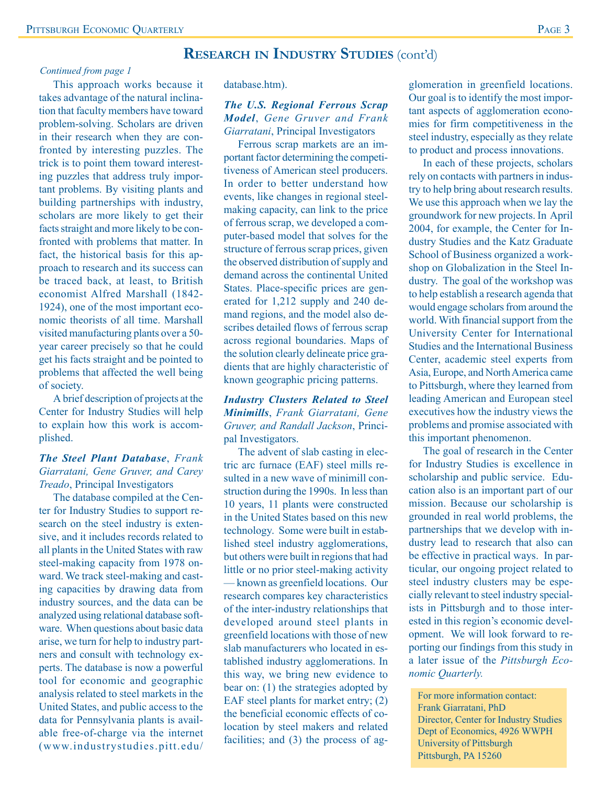# **RESEARCH IN INDUSTRY STUDIES** (cont'd)

#### *Continued from page 1*

This approach works because it takes advantage of the natural inclination that faculty members have toward problem-solving. Scholars are driven in their research when they are confronted by interesting puzzles. The trick is to point them toward interesting puzzles that address truly important problems. By visiting plants and building partnerships with industry, scholars are more likely to get their facts straight and more likely to be confronted with problems that matter. In fact, the historical basis for this approach to research and its success can be traced back, at least, to British economist Alfred Marshall (1842- 1924), one of the most important economic theorists of all time. Marshall visited manufacturing plants over a 50 year career precisely so that he could get his facts straight and be pointed to problems that affected the well being of society.

A brief description of projects at the Center for Industry Studies will help to explain how this work is accomplished.

#### *The Steel Plant Database*, *Frank Giarratani, Gene Gruver, and Carey Treado*, Principal Investigators

The database compiled at the Center for Industry Studies to support research on the steel industry is extensive, and it includes records related to all plants in the United States with raw steel-making capacity from 1978 onward. We track steel-making and casting capacities by drawing data from industry sources, and the data can be analyzed using relational database software. When questions about basic data arise, we turn for help to industry partners and consult with technology experts. The database is now a powerful tool for economic and geographic analysis related to steel markets in the United States, and public access to the data for Pennsylvania plants is available free-of-charge via the internet (www.industrystudies.pitt.edu/ database.htm).

#### *The U.S. Regional Ferrous Scrap Model*, *Gene Gruver and Frank Giarratani*, Principal Investigators

Ferrous scrap markets are an important factor determining the competitiveness of American steel producers. In order to better understand how events, like changes in regional steelmaking capacity, can link to the price of ferrous scrap, we developed a computer-based model that solves for the structure of ferrous scrap prices, given the observed distribution of supply and demand across the continental United States. Place-specific prices are generated for 1,212 supply and 240 demand regions, and the model also describes detailed flows of ferrous scrap across regional boundaries. Maps of the solution clearly delineate price gradients that are highly characteristic of known geographic pricing patterns.

#### *Industry Clusters Related to Steel Minimills*, *Frank Giarratani, Gene Gruver, and Randall Jackson*, Principal Investigators.

The advent of slab casting in electric arc furnace (EAF) steel mills resulted in a new wave of minimill construction during the 1990s. In less than 10 years, 11 plants were constructed in the United States based on this new technology. Some were built in established steel industry agglomerations, but others were built in regions that had little or no prior steel-making activity — known as greenfield locations. Our research compares key characteristics of the inter-industry relationships that developed around steel plants in greenfield locations with those of new slab manufacturers who located in established industry agglomerations. In this way, we bring new evidence to bear on: (1) the strategies adopted by EAF steel plants for market entry; (2) the beneficial economic effects of colocation by steel makers and related facilities; and (3) the process of agglomeration in greenfield locations. Our goal is to identify the most important aspects of agglomeration economies for firm competitiveness in the steel industry, especially as they relate to product and process innovations.

In each of these projects, scholars rely on contacts with partners in industry to help bring about research results. We use this approach when we lay the groundwork for new projects. In April 2004, for example, the Center for Industry Studies and the Katz Graduate School of Business organized a workshop on Globalization in the Steel Industry. The goal of the workshop was to help establish a research agenda that would engage scholars from around the world. With financial support from the University Center for International Studies and the International Business Center, academic steel experts from Asia, Europe, and North America came to Pittsburgh, where they learned from leading American and European steel executives how the industry views the problems and promise associated with this important phenomenon.

The goal of research in the Center for Industry Studies is excellence in scholarship and public service. Education also is an important part of our mission. Because our scholarship is grounded in real world problems, the partnerships that we develop with industry lead to research that also can be effective in practical ways. In particular, our ongoing project related to steel industry clusters may be especially relevant to steel industry specialists in Pittsburgh and to those interested in this region's economic development. We will look forward to reporting our findings from this study in a later issue of the *Pittsburgh Economic Quarterly.*

For more information contact: Frank Giarratani, PhD Director, Center for Industry Studies Dept of Economics, 4926 WWPH University of Pittsburgh Pittsburgh, PA 15260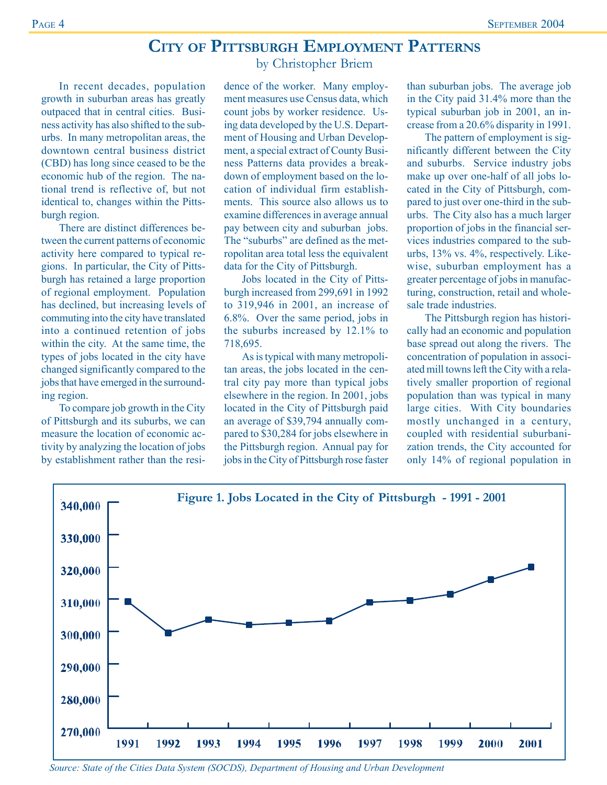# **CITY OF PITTSBURGH EMPLOYMENT PATTERNS**

by Christopher Briem

In recent decades, population growth in suburban areas has greatly outpaced that in central cities. Business activity has also shifted to the suburbs. In many metropolitan areas, the downtown central business district (CBD) has long since ceased to be the economic hub of the region. The national trend is reflective of, but not identical to, changes within the Pittsburgh region.

There are distinct differences between the current patterns of economic activity here compared to typical regions. In particular, the City of Pittsburgh has retained a large proportion of regional employment. Population has declined, but increasing levels of commuting into the city have translated into a continued retention of jobs within the city. At the same time, the types of jobs located in the city have changed significantly compared to the jobs that have emerged in the surrounding region.

To compare job growth in the City of Pittsburgh and its suburbs, we can measure the location of economic activity by analyzing the location of jobs by establishment rather than the resi-

dence of the worker. Many employment measures use Census data, which count jobs by worker residence. Using data developed by the U.S. Department of Housing and Urban Development, a special extract of County Business Patterns data provides a breakdown of employment based on the location of individual firm establishments. This source also allows us to examine differences in average annual pay between city and suburban jobs. The "suburbs" are defined as the metropolitan area total less the equivalent data for the City of Pittsburgh.

Jobs located in the City of Pittsburgh increased from 299,691 in 1992 to 319,946 in 2001, an increase of 6.8%. Over the same period, jobs in the suburbs increased by 12.1% to 718,695.

As is typical with many metropolitan areas, the jobs located in the central city pay more than typical jobs elsewhere in the region. In 2001, jobs located in the City of Pittsburgh paid an average of \$39,794 annually compared to \$30,284 for jobs elsewhere in the Pittsburgh region. Annual pay for jobs in the City of Pittsburgh rose faster than suburban jobs. The average job in the City paid 31.4% more than the typical suburban job in 2001, an increase from a 20.6% disparity in 1991.

The pattern of employment is significantly different between the City and suburbs. Service industry jobs make up over one-half of all jobs located in the City of Pittsburgh, compared to just over one-third in the suburbs. The City also has a much larger proportion of jobs in the financial services industries compared to the suburbs, 13% vs. 4%, respectively. Likewise, suburban employment has a greater percentage of jobs in manufacturing, construction, retail and wholesale trade industries.

The Pittsburgh region has historically had an economic and population base spread out along the rivers. The concentration of population in associated mill towns left the City with a relatively smaller proportion of regional population than was typical in many large cities. With City boundaries mostly unchanged in a century, coupled with residential suburbanization trends, the City accounted for only 14% of regional population in



*Source: State of the Cities Data System (SOCDS), Department of Housing and Urban Development*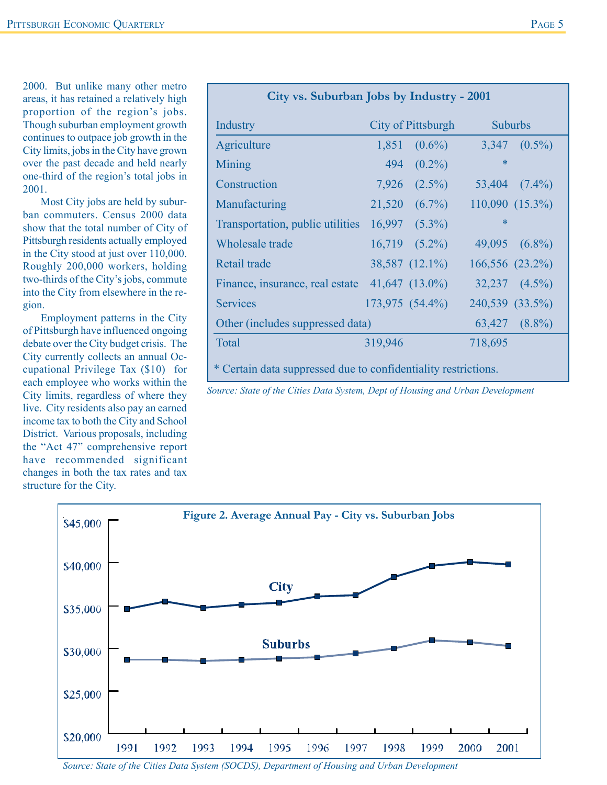2000. But unlike many other metro areas, it has retained a relatively high proportion of the region's jobs. Though suburban employment growth continues to outpace job growth in the City limits, jobs in the City have grown over the past decade and held nearly one-third of the region's total jobs in 2001.

Most City jobs are held by suburban commuters. Census 2000 data show that the total number of City of Pittsburgh residents actually employed in the City stood at just over 110,000. Roughly 200,000 workers, holding two-thirds of the City's jobs, commute into the City from elsewhere in the region.

Employment patterns in the City of Pittsburgh have influenced ongoing debate over the City budget crisis. The City currently collects an annual Occupational Privilege Tax (\$10) for each employee who works within the City limits, regardless of where they live. City residents also pay an earned income tax to both the City and School District. Various proposals, including the "Act 47" comprehensive report have recommended significant changes in both the tax rates and tax structure for the City.

| City vs. Suburban Jobs by Industry - 2001                      |         |                    |         |                    |  |
|----------------------------------------------------------------|---------|--------------------|---------|--------------------|--|
| Industry                                                       |         | City of Pittsburgh |         | <b>Suburbs</b>     |  |
| Agriculture                                                    | 1,851   | $(0.6\%)$          |         | $3,347$ $(0.5\%)$  |  |
| Mining                                                         | 494     | $(0.2\%)$          | ∗       |                    |  |
| Construction                                                   |         | $7,926$ $(2.5\%)$  |         | $53,404$ $(7.4\%)$ |  |
| Manufacturing                                                  |         | $21,520 (6.7\%)$   |         | 110,090 (15.3%)    |  |
| Transportation, public utilities                               |         | $16,997$ $(5.3\%)$ | ∗       |                    |  |
| Wholesale trade                                                |         | $16,719$ $(5.2\%)$ |         | 49,095 $(6.8\%)$   |  |
| Retail trade                                                   |         | 38,587 (12.1%)     |         | 166,556 (23.2%)    |  |
| Finance, insurance, real estate $41,647$ (13.0%)               |         |                    |         | $32,237$ $(4.5\%)$ |  |
| <b>Services</b>                                                |         | 173,975 (54.4%)    |         | 240,539 (33.5%)    |  |
| Other (includes suppressed data)                               |         |                    |         | 63,427 (8.8%)      |  |
| Total                                                          | 319,946 |                    | 718,695 |                    |  |
| * Certain data suppressed due to confidentiality restrictions. |         |                    |         |                    |  |

*Source: State of the Cities Data System, Dept of Housing and Urban Development*



*Source: State of the Cities Data System (SOCDS), Department of Housing and Urban Development*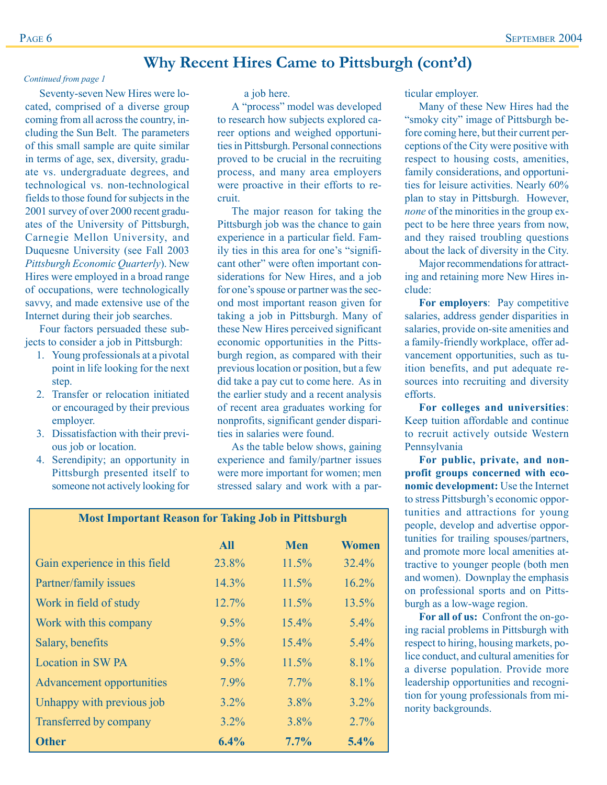# **Why Recent Hires Came to Pittsburgh (cont'd)**

#### *Continued from page 1*

Seventy-seven New Hires were located, comprised of a diverse group coming from all across the country, including the Sun Belt. The parameters of this small sample are quite similar in terms of age, sex, diversity, graduate vs. undergraduate degrees, and technological vs. non-technological fields to those found for subjects in the 2001 survey of over 2000 recent graduates of the University of Pittsburgh, Carnegie Mellon University, and Duquesne University (see Fall 2003 *Pittsburgh Economic Quarterly*). New Hires were employed in a broad range of occupations, were technologically savvy, and made extensive use of the Internet during their job searches.

Four factors persuaded these subjects to consider a job in Pittsburgh:

- 1. Young professionals at a pivotal point in life looking for the next step.
- 2. Transfer or relocation initiated or encouraged by their previous employer.
- 3. Dissatisfaction with their previous job or location.
- 4. Serendipity; an opportunity in Pittsburgh presented itself to someone not actively looking for

a job here.

A "process" model was developed to research how subjects explored career options and weighed opportunities in Pittsburgh. Personal connections proved to be crucial in the recruiting process, and many area employers were proactive in their efforts to recruit.

The major reason for taking the Pittsburgh job was the chance to gain experience in a particular field. Family ties in this area for one's "significant other" were often important considerations for New Hires, and a job for one's spouse or partner was the second most important reason given for taking a job in Pittsburgh. Many of these New Hires perceived significant economic opportunities in the Pittsburgh region, as compared with their previous location or position, but a few did take a pay cut to come here. As in the earlier study and a recent analysis of recent area graduates working for nonprofits, significant gender disparities in salaries were found.

As the table below shows, gaining experience and family/partner issues were more important for women; men stressed salary and work with a par-

|                                  | <b>All</b> | <b>Men</b> | <b>Women</b> |
|----------------------------------|------------|------------|--------------|
| Gain experience in this field    | 23.8%      | 11.5%      | 32.4%        |
| Partner/family issues            | 14.3%      | 11.5%      | $16.2\%$     |
| Work in field of study           | 12.7%      | 11.5%      | 13.5%        |
| Work with this company           | 9.5%       | $15.4\%$   | $5.4\%$      |
| Salary, benefits                 | 9.5%       | 15.4%      | $5.4\%$      |
| <b>Location in SW PA</b>         | 9.5%       | 11.5%      | 8.1%         |
| <b>Advancement opportunities</b> | 7.9%       | $7.7\%$    | 8.1%         |
| Unhappy with previous job        | $3.2\%$    | 3.8%       | $3.2\%$      |
| Transferred by company           | $3.2\%$    | $3.8\%$    | 2.7%         |
| <b>Other</b>                     | 6.4%       | 7.7%       | 5.4%         |

**Most Important Reason for Taking Job in Pittsburgh**

ticular employer.

Many of these New Hires had the "smoky city" image of Pittsburgh before coming here, but their current perceptions of the City were positive with respect to housing costs, amenities, family considerations, and opportunities for leisure activities. Nearly 60% plan to stay in Pittsburgh. However, *none* of the minorities in the group expect to be here three years from now, and they raised troubling questions about the lack of diversity in the City.

Major recommendations for attracting and retaining more New Hires include:

**For employers**: Pay competitive salaries, address gender disparities in salaries, provide on-site amenities and a family-friendly workplace, offer advancement opportunities, such as tuition benefits, and put adequate resources into recruiting and diversity efforts.

**For colleges and universities**: Keep tuition affordable and continue to recruit actively outside Western Pennsylvania

**For public, private, and nonprofit groups concerned with economic development:** Use the Internet to stress Pittsburgh's economic opportunities and attractions for young people, develop and advertise opportunities for trailing spouses/partners, and promote more local amenities attractive to younger people (both men and women). Downplay the emphasis on professional sports and on Pittsburgh as a low-wage region.

**For all of us:** Confront the on-going racial problems in Pittsburgh with respect to hiring, housing markets, police conduct, and cultural amenities for a diverse population. Provide more leadership opportunities and recognition for young professionals from minority backgrounds.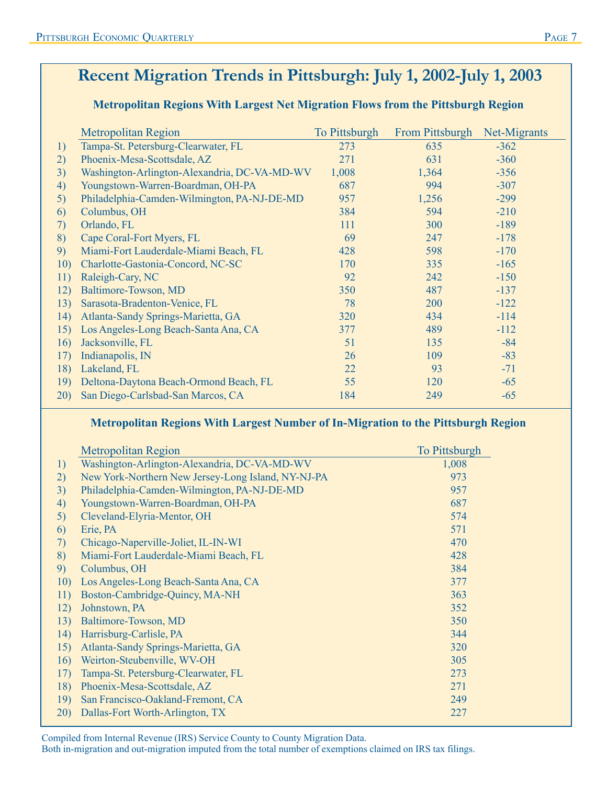# **Recent Migration Trends in Pittsburgh: July 1, 2002-July 1, 2003**

# **Metropolitan Regions With Largest Net Migration Flows from the Pittsburgh Region**

|     | <b>Metropolitan Region</b>                   | To Pittsburgh | From Pittsburgh | Net-Migrants |
|-----|----------------------------------------------|---------------|-----------------|--------------|
| 1)  | Tampa-St. Petersburg-Clearwater, FL          | 273           | 635             | $-362$       |
| 2)  | Phoenix-Mesa-Scottsdale, AZ                  | 271           | 631             | $-360$       |
| 3)  | Washington-Arlington-Alexandria, DC-VA-MD-WV | 1,008         | 1,364           | $-356$       |
| 4)  | Youngstown-Warren-Boardman, OH-PA            | 687           | 994             | $-307$       |
| 5)  | Philadelphia-Camden-Wilmington, PA-NJ-DE-MD  | 957           | 1,256           | $-299$       |
| 6)  | Columbus, OH                                 | 384           | 594             | $-210$       |
| 7)  | Orlando, FL                                  | 111           | 300             | $-189$       |
| 8)  | Cape Coral-Fort Myers, FL                    | 69            | 247             | $-178$       |
| 9)  | Miami-Fort Lauderdale-Miami Beach, FL        | 428           | 598             | $-170$       |
| 10) | Charlotte-Gastonia-Concord, NC-SC            | 170           | 335             | $-165$       |
| 11) | Raleigh-Cary, NC                             | 92            | 242             | $-150$       |
| 12) | Baltimore-Towson, MD                         | 350           | 487             | $-137$       |
| 13) | Sarasota-Bradenton-Venice, FL                | 78            | 200             | $-122$       |
| 14) | Atlanta-Sandy Springs-Marietta, GA           | 320           | 434             | $-114$       |
| 15) | Los Angeles-Long Beach-Santa Ana, CA         | 377           | 489             | $-112$       |
| 16) | Jacksonville, FL                             | 51            | 135             | $-84$        |
| 17) | Indianapolis, IN                             | 26            | 109             | $-83$        |
| 18) | Lakeland, FL                                 | 22            | 93              | $-71$        |
| 19) | Deltona-Daytona Beach-Ormond Beach, FL       | 55            | 120             | $-65$        |
| 20) | San Diego-Carlsbad-San Marcos, CA            | 184           | 249             | $-65$        |

## **Metropolitan Regions With Largest Number of In-Migration to the Pittsburgh Region**

|     | <b>Metropolitan Region</b>                         | To Pittsburgh |
|-----|----------------------------------------------------|---------------|
| 1)  | Washington-Arlington-Alexandria, DC-VA-MD-WV       | 1,008         |
| 2)  | New York-Northern New Jersey-Long Island, NY-NJ-PA | 973           |
| 3)  | Philadelphia-Camden-Wilmington, PA-NJ-DE-MD        | 957           |
| 4)  | Youngstown-Warren-Boardman, OH-PA                  | 687           |
| 5)  | Cleveland-Elyria-Mentor, OH                        | 574           |
| 6)  | Erie, PA                                           | 571           |
| 7)  | Chicago-Naperville-Joliet, IL-IN-WI                | 470           |
| 8)  | Miami-Fort Lauderdale-Miami Beach, FL              | 428           |
| 9)  | Columbus, OH                                       | 384           |
| 10) | Los Angeles-Long Beach-Santa Ana, CA               | 377           |
| 11) | Boston-Cambridge-Quincy, MA-NH                     | 363           |
| 12) | Johnstown, PA                                      | 352           |
| 13) | Baltimore-Towson, MD                               | 350           |
| 14) | Harrisburg-Carlisle, PA                            | 344           |
| 15) | Atlanta-Sandy Springs-Marietta, GA                 | 320           |
| 16) | Weirton-Steubenville, WV-OH                        | 305           |
| 17) | Tampa-St. Petersburg-Clearwater, FL                | 273           |
| 18) | Phoenix-Mesa-Scottsdale, AZ                        | 271           |
| 19) | San Francisco-Oakland-Fremont, CA                  | 249           |
| 20) | Dallas-Fort Worth-Arlington, TX                    | 227           |

Compiled from Internal Revenue (IRS) Service County to County Migration Data.

Both in-migration and out-migration imputed from the total number of exemptions claimed on IRS tax filings.